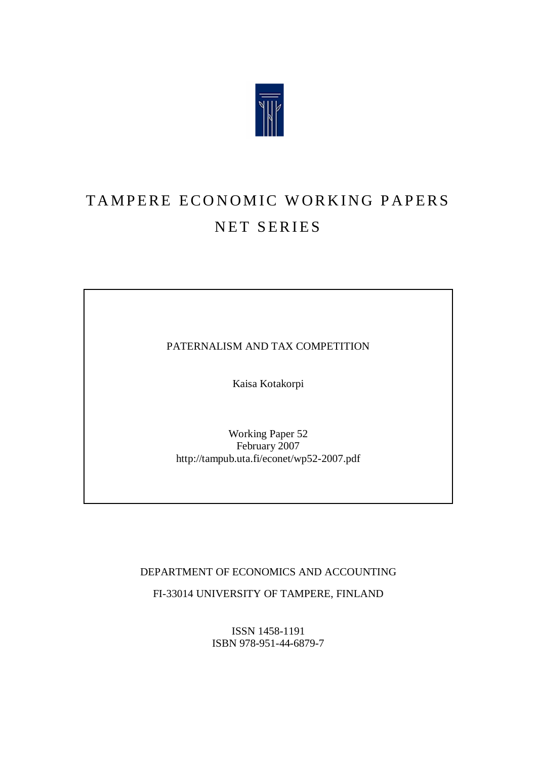

# TAMPERE ECONOMIC WORKING PAPERS NET SERIES

PATERNALISM AND TAX COMPETITION

Kaisa Kotakorpi

Working Paper 52 February 2007 <http://tampub.uta.fi/econet/wp52-2007.pdf>

DEPARTMENT OF ECONOMICS AND ACCOUNTING

FI-33014 UNIVERSITY OF TAMPERE, FINLAND

ISSN 1458-1191 ISBN 978-951-44-6879-7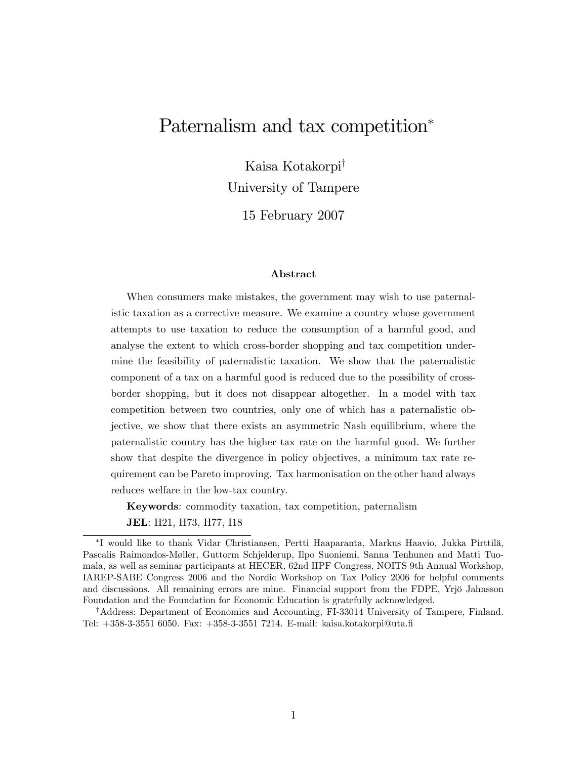# Paternalism and tax competition<sup>\*</sup>

Kaisa Kotakorpi<sup>†</sup>

University of Tampere

15 February 2007

#### Abstract

When consumers make mistakes, the government may wish to use paternalistic taxation as a corrective measure. We examine a country whose government attempts to use taxation to reduce the consumption of a harmful good, and analyse the extent to which cross-border shopping and tax competition undermine the feasibility of paternalistic taxation. We show that the paternalistic component of a tax on a harmful good is reduced due to the possibility of crossborder shopping, but it does not disappear altogether. In a model with tax competition between two countries, only one of which has a paternalistic objective, we show that there exists an asymmetric Nash equilibrium, where the paternalistic country has the higher tax rate on the harmful good. We further show that despite the divergence in policy objectives, a minimum tax rate requirement can be Pareto improving. Tax harmonisation on the other hand always reduces welfare in the low-tax country.

Keywords: commodity taxation, tax competition, paternalism

JEL: H21, H73, H77, I18

<sup>†</sup>Address: Department of Economics and Accounting, FI-33014 University of Tampere, Finland. Tel: +358-3-3551 6050. Fax: +358-3-3551 7214. E-mail: kaisa.kotakorpi@uta.Ö

I would like to thank Vidar Christiansen, Pertti Haaparanta, Markus Haavio, Jukka Pirttil‰, Pascalis Raimondos-Møller, Guttorm Schjelderup, Ilpo Suoniemi, Sanna Tenhunen and Matti Tuomala, as well as seminar participants at HECER, 62nd IIPF Congress, NOITS 9th Annual Workshop, IAREP-SABE Congress 2006 and the Nordic Workshop on Tax Policy 2006 for helpful comments and discussions. All remaining errors are mine. Financial support from the FDPE, Yrjö Jahnsson Foundation and the Foundation for Economic Education is gratefully acknowledged.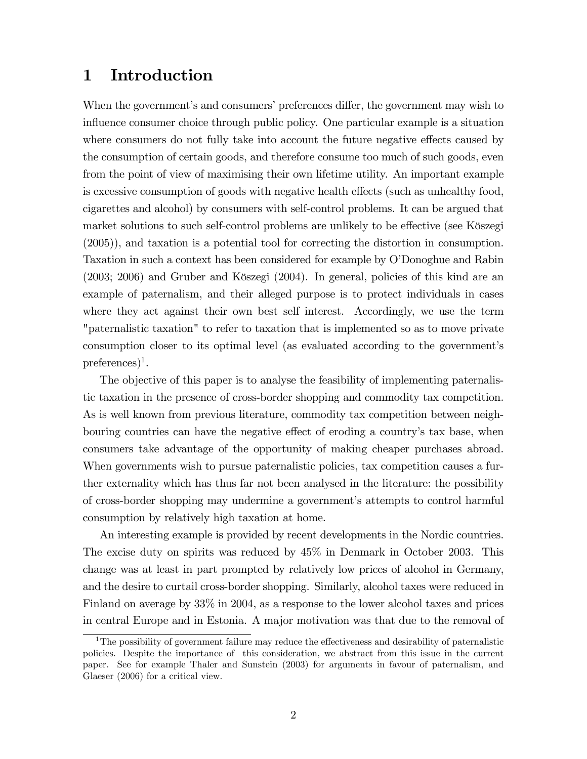# 1 Introduction

When the government's and consumers' preferences differ, the government may wish to influence consumer choice through public policy. One particular example is a situation where consumers do not fully take into account the future negative effects caused by the consumption of certain goods, and therefore consume too much of such goods, even from the point of view of maximising their own lifetime utility. An important example is excessive consumption of goods with negative health effects (such as unhealthy food, cigarettes and alcohol) by consumers with self-control problems. It can be argued that market solutions to such self-control problems are unlikely to be effective (see Köszegi (2005)), and taxation is a potential tool for correcting the distortion in consumption. Taxation in such a context has been considered for example by O'Donoghue and Rabin  $(2003; 2006)$  and Gruber and Köszegi  $(2004)$ . In general, policies of this kind are an example of paternalism, and their alleged purpose is to protect individuals in cases where they act against their own best self interest. Accordingly, we use the term "paternalistic taxation" to refer to taxation that is implemented so as to move private consumption closer to its optimal level (as evaluated according to the government's preferences)<sup>1</sup>.

The objective of this paper is to analyse the feasibility of implementing paternalistic taxation in the presence of cross-border shopping and commodity tax competition. As is well known from previous literature, commodity tax competition between neighbouring countries can have the negative effect of eroding a country's tax base, when consumers take advantage of the opportunity of making cheaper purchases abroad. When governments wish to pursue paternalistic policies, tax competition causes a further externality which has thus far not been analysed in the literature: the possibility of cross-border shopping may undermine a governmentís attempts to control harmful consumption by relatively high taxation at home.

An interesting example is provided by recent developments in the Nordic countries. The excise duty on spirits was reduced by 45% in Denmark in October 2003. This change was at least in part prompted by relatively low prices of alcohol in Germany, and the desire to curtail cross-border shopping. Similarly, alcohol taxes were reduced in Finland on average by 33% in 2004, as a response to the lower alcohol taxes and prices in central Europe and in Estonia. A major motivation was that due to the removal of

<sup>&</sup>lt;sup>1</sup>The possibility of government failure may reduce the effectiveness and desirability of paternalistic policies. Despite the importance of this consideration, we abstract from this issue in the current paper. See for example Thaler and Sunstein (2003) for arguments in favour of paternalism, and Glaeser (2006) for a critical view.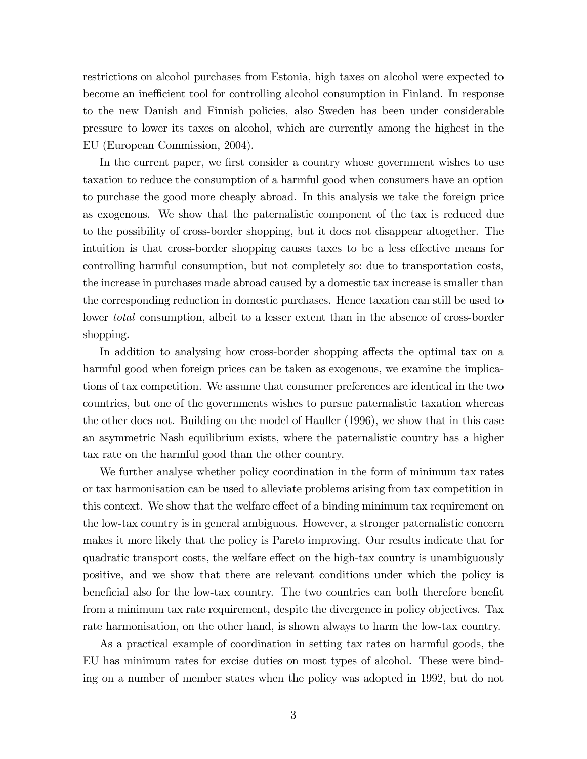restrictions on alcohol purchases from Estonia, high taxes on alcohol were expected to become an inefficient tool for controlling alcohol consumption in Finland. In response to the new Danish and Finnish policies, also Sweden has been under considerable pressure to lower its taxes on alcohol, which are currently among the highest in the EU (European Commission, 2004).

In the current paper, we first consider a country whose government wishes to use taxation to reduce the consumption of a harmful good when consumers have an option to purchase the good more cheaply abroad. In this analysis we take the foreign price as exogenous. We show that the paternalistic component of the tax is reduced due to the possibility of cross-border shopping, but it does not disappear altogether. The intuition is that cross-border shopping causes taxes to be a less effective means for controlling harmful consumption, but not completely so: due to transportation costs, the increase in purchases made abroad caused by a domestic tax increase is smaller than the corresponding reduction in domestic purchases. Hence taxation can still be used to lower total consumption, albeit to a lesser extent than in the absence of cross-border shopping.

In addition to analysing how cross-border shopping affects the optimal tax on a harmful good when foreign prices can be taken as exogenous, we examine the implications of tax competition. We assume that consumer preferences are identical in the two countries, but one of the governments wishes to pursue paternalistic taxation whereas the other does not. Building on the model of Haufler (1996), we show that in this case an asymmetric Nash equilibrium exists, where the paternalistic country has a higher tax rate on the harmful good than the other country.

We further analyse whether policy coordination in the form of minimum tax rates or tax harmonisation can be used to alleviate problems arising from tax competition in this context. We show that the welfare effect of a binding minimum tax requirement on the low-tax country is in general ambiguous. However, a stronger paternalistic concern makes it more likely that the policy is Pareto improving. Our results indicate that for quadratic transport costs, the welfare effect on the high-tax country is unambiguously positive, and we show that there are relevant conditions under which the policy is beneficial also for the low-tax country. The two countries can both therefore benefit from a minimum tax rate requirement, despite the divergence in policy objectives. Tax rate harmonisation, on the other hand, is shown always to harm the low-tax country.

As a practical example of coordination in setting tax rates on harmful goods, the EU has minimum rates for excise duties on most types of alcohol. These were binding on a number of member states when the policy was adopted in 1992, but do not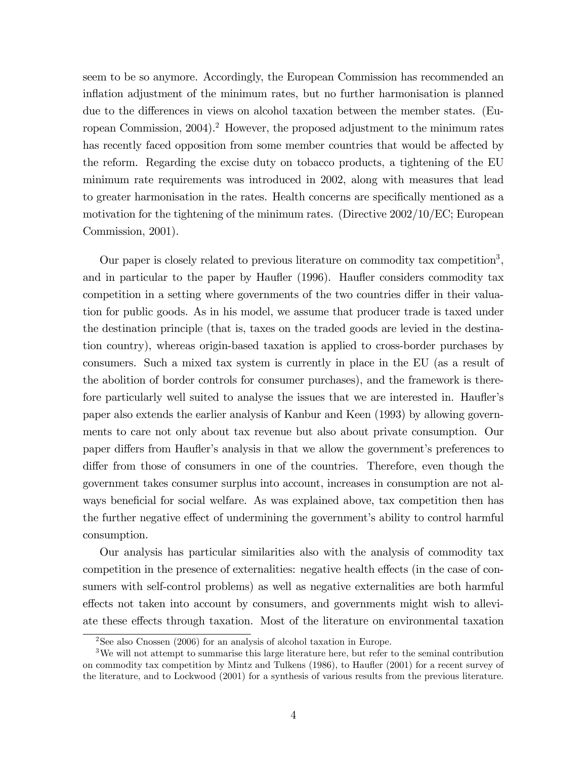seem to be so anymore. Accordingly, the European Commission has recommended an inflation adjustment of the minimum rates, but no further harmonisation is planned due to the differences in views on alcohol taxation between the member states. (European Commission, 2004).<sup>2</sup> However, the proposed adjustment to the minimum rates has recently faced opposition from some member countries that would be affected by the reform. Regarding the excise duty on tobacco products, a tightening of the EU minimum rate requirements was introduced in 2002, along with measures that lead to greater harmonisation in the rates. Health concerns are specifically mentioned as a motivation for the tightening of the minimum rates. (Directive 2002/10/EC; European Commission, 2001).

Our paper is closely related to previous literature on commodity tax competition<sup>3</sup>, and in particular to the paper by Haufler (1996). Haufler considers commodity tax competition in a setting where governments of the two countries differ in their valuation for public goods. As in his model, we assume that producer trade is taxed under the destination principle (that is, taxes on the traded goods are levied in the destination country), whereas origin-based taxation is applied to cross-border purchases by consumers. Such a mixed tax system is currently in place in the EU (as a result of the abolition of border controls for consumer purchases), and the framework is therefore particularly well suited to analyse the issues that we are interested in. Haufler's paper also extends the earlier analysis of Kanbur and Keen (1993) by allowing governments to care not only about tax revenue but also about private consumption. Our paper differs from Haufler's analysis in that we allow the government's preferences to differ from those of consumers in one of the countries. Therefore, even though the government takes consumer surplus into account, increases in consumption are not always beneficial for social welfare. As was explained above, tax competition then has the further negative effect of undermining the government's ability to control harmful consumption.

Our analysis has particular similarities also with the analysis of commodity tax competition in the presence of externalities: negative health effects (in the case of consumers with self-control problems) as well as negative externalities are both harmful effects not taken into account by consumers, and governments might wish to alleviate these effects through taxation. Most of the literature on environmental taxation

<sup>&</sup>lt;sup>2</sup>See also Cnossen (2006) for an analysis of alcohol taxation in Europe.

<sup>&</sup>lt;sup>3</sup>We will not attempt to summarise this large literature here, but refer to the seminal contribution on commodity tax competition by Mintz and Tulkens (1986), to Hauáer (2001) for a recent survey of the literature, and to Lockwood (2001) for a synthesis of various results from the previous literature.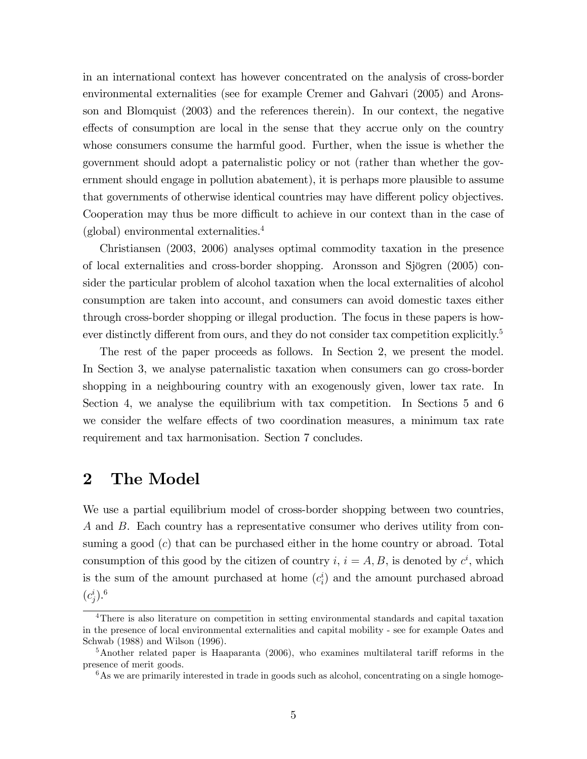in an international context has however concentrated on the analysis of cross-border environmental externalities (see for example Cremer and Gahvari (2005) and Aronsson and Blomquist (2003) and the references therein). In our context, the negative effects of consumption are local in the sense that they accrue only on the country whose consumers consume the harmful good. Further, when the issue is whether the government should adopt a paternalistic policy or not (rather than whether the government should engage in pollution abatement), it is perhaps more plausible to assume that governments of otherwise identical countries may have different policy objectives. Cooperation may thus be more difficult to achieve in our context than in the case of (global) environmental externalities.<sup>4</sup>

Christiansen (2003, 2006) analyses optimal commodity taxation in the presence of local externalities and cross-border shopping. Aronsson and Sjögren (2005) consider the particular problem of alcohol taxation when the local externalities of alcohol consumption are taken into account, and consumers can avoid domestic taxes either through cross-border shopping or illegal production. The focus in these papers is however distinctly different from ours, and they do not consider tax competition explicitly.<sup>5</sup>

The rest of the paper proceeds as follows. In Section 2, we present the model. In Section 3, we analyse paternalistic taxation when consumers can go cross-border shopping in a neighbouring country with an exogenously given, lower tax rate. In Section 4, we analyse the equilibrium with tax competition. In Sections 5 and 6 we consider the welfare effects of two coordination measures, a minimum tax rate requirement and tax harmonisation. Section 7 concludes.

### 2 The Model

We use a partial equilibrium model of cross-border shopping between two countries, A and B. Each country has a representative consumer who derives utility from consuming a good  $(c)$  that can be purchased either in the home country or abroad. Total consumption of this good by the citizen of country  $i, i = A, B$ , is denoted by  $c^i$ , which is the sum of the amount purchased at home  $(c_i^i)$  and the amount purchased abroad  $(c_j^i)$ .<sup>6</sup>

<sup>4</sup>There is also literature on competition in setting environmental standards and capital taxation in the presence of local environmental externalities and capital mobility - see for example Oates and Schwab (1988) and Wilson (1996).

 $5$ Another related paper is Haaparanta (2006), who examines multilateral tariff reforms in the presence of merit goods.

 $6$ As we are primarily interested in trade in goods such as alcohol, concentrating on a single homoge-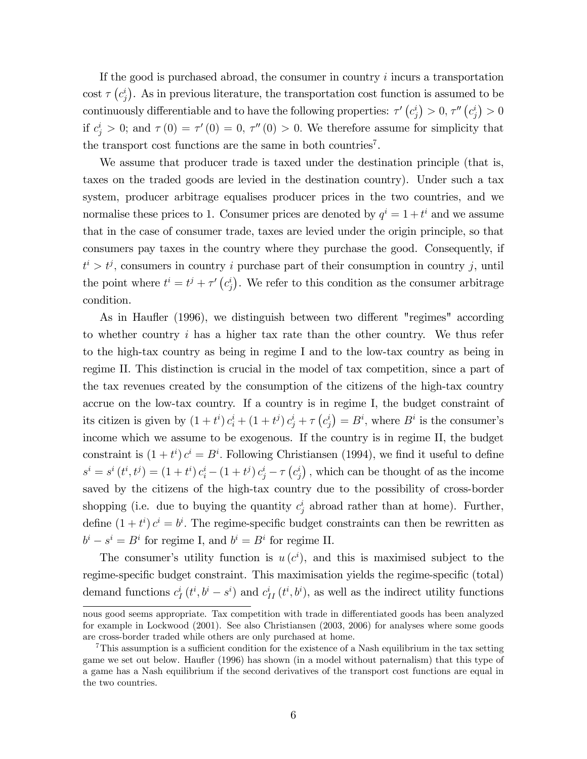If the good is purchased abroad, the consumer in country i incurs a transportation cost  $\tau$   $(c_j^i)$ . As in previous literature, the transportation cost function is assumed to be continuously differentiable and to have the following properties:  $\tau' (c_j^i) > 0$ ,  $\tau'' (c_j^i) > 0$ if  $c_j^i > 0$ ; and  $\tau(0) = \tau'(0) = 0$ ,  $\tau''(0) > 0$ . We therefore assume for simplicity that the transport cost functions are the same in both countries<sup>7</sup>.

We assume that producer trade is taxed under the destination principle (that is, taxes on the traded goods are levied in the destination country). Under such a tax system, producer arbitrage equalises producer prices in the two countries, and we normalise these prices to 1. Consumer prices are denoted by  $q^{i} = 1 + t^{i}$  and we assume that in the case of consumer trade, taxes are levied under the origin principle, so that consumers pay taxes in the country where they purchase the good. Consequently, if  $t^i > t^j$ , consumers in country i purchase part of their consumption in country j, until the point where  $t^{i} = t^{j} + \tau' (c_{j}^{i})$ . We refer to this condition as the consumer arbitrage condition.

As in Haufler (1996), we distinguish between two different "regimes" according to whether country i has a higher tax rate than the other country. We thus refer to the high-tax country as being in regime I and to the low-tax country as being in regime II. This distinction is crucial in the model of tax competition, since a part of the tax revenues created by the consumption of the citizens of the high-tax country accrue on the low-tax country. If a country is in regime I, the budget constraint of its citizen is given by  $(1+t^i)c_i^i + (1+t^j)c_j^i + \tau(c_j^i) = B^i$ , where  $B^i$  is the consumer's income which we assume to be exogenous. If the country is in regime II, the budget constraint is  $(1+t^i)c^i = B^i$ . Following Christiansen (1994), we find it useful to define  $s^i = s^i(t^i, t^j) = (1 + t^i) c_i^i - (1 + t^j) c_j^i - \tau (c_j^i)$ , which can be thought of as the income saved by the citizens of the high-tax country due to the possibility of cross-border shopping (i.e. due to buying the quantity  $c_j^i$  abroad rather than at home). Further, define  $(1 + t^i) c^i = b^i$ . The regime-specific budget constraints can then be rewritten as  $b^i - s^i = B^i$  for regime I, and  $b^i = B^i$  for regime II.

The consumer's utility function is  $u(c^i)$ , and this is maximised subject to the regime-specific budget constraint. This maximisation yields the regime-specific (total) demand functions  $c_I^i(t^i, b^i - s^i)$  and  $c_{II}^i(t^i, b^i)$ , as well as the indirect utility functions

nous good seems appropriate. Tax competition with trade in differentiated goods has been analyzed for example in Lockwood (2001). See also Christiansen (2003, 2006) for analyses where some goods are cross-border traded while others are only purchased at home.

 $7$ This assumption is a sufficient condition for the existence of a Nash equilibrium in the tax setting game we set out below. Hauáer (1996) has shown (in a model without paternalism) that this type of a game has a Nash equilibrium if the second derivatives of the transport cost functions are equal in the two countries.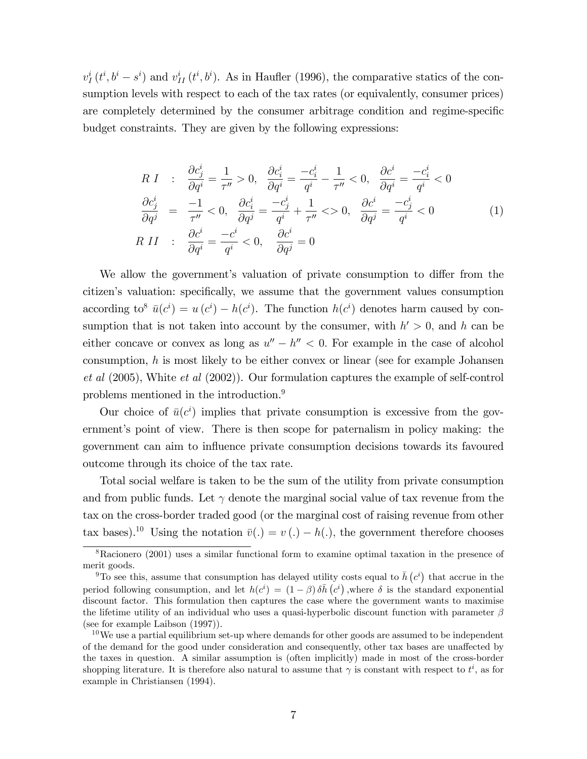$v_I^i(t^i, b^i - s^i)$  and  $v_{II}^i(t^i, b^i)$ . As in Haufler (1996), the comparative statics of the consumption levels with respect to each of the tax rates (or equivalently, consumer prices) are completely determined by the consumer arbitrage condition and regime-specific budget constraints. They are given by the following expressions:

$$
R I : \frac{\partial c_j^i}{\partial q^i} = \frac{1}{\tau''} > 0, \quad \frac{\partial c_i^i}{\partial q^i} = \frac{-c_i^i}{q^i} - \frac{1}{\tau''} < 0, \quad \frac{\partial c^i}{\partial q^i} = \frac{-c_i^i}{q^i} < 0
$$
  

$$
\frac{\partial c_j^i}{\partial q^j} = \frac{-1}{\tau''} < 0, \quad \frac{\partial c_i^i}{\partial q^j} = \frac{-c_j^i}{q^i} + \frac{1}{\tau''} < 0, \quad \frac{\partial c^i}{\partial q^j} = \frac{-c_j^i}{q^i} < 0
$$
  

$$
R II : \frac{\partial c^i}{\partial q^i} = \frac{-c^i}{q^i} < 0, \quad \frac{\partial c^i}{\partial q^j} = 0
$$
 (1)

We allow the government's valuation of private consumption to differ from the citizen's valuation: specifically, we assume that the government values consumption according to<sup>8</sup>  $\bar{u}(c^i) = u(c^i) - h(c^i)$ . The function  $h(c^i)$  denotes harm caused by consumption that is not taken into account by the consumer, with  $h' > 0$ , and h can be either concave or convex as long as  $u'' - h'' < 0$ . For example in the case of alcohol consumption,  $h$  is most likely to be either convex or linear (see for example Johansen et al (2005), White et al (2002)). Our formulation captures the example of self-control problems mentioned in the introduction.<sup>9</sup>

Our choice of  $\bar{u}(c^i)$  implies that private consumption is excessive from the governmentís point of view. There is then scope for paternalism in policy making: the government can aim to ináuence private consumption decisions towards its favoured outcome through its choice of the tax rate.

Total social welfare is taken to be the sum of the utility from private consumption and from public funds. Let  $\gamma$  denote the marginal social value of tax revenue from the tax on the cross-border traded good (or the marginal cost of raising revenue from other tax bases).<sup>10</sup> Using the notation  $\bar{v}(.) = v(.) - h(.)$ , the government therefore chooses

<sup>8</sup>Racionero (2001) uses a similar functional form to examine optimal taxation in the presence of merit goods.

<sup>&</sup>lt;sup>9</sup>To see this, assume that consumption has delayed utility costs equal to  $\bar{h}(c^i)$  that accrue in the period following consumption, and let  $h(c^i) = (1 - \beta) \delta \bar{h}(c^i)$ , where  $\delta$  is the standard exponential discount factor. This formulation then captures the case where the government wants to maximise the lifetime utility of an individual who uses a quasi-hyperbolic discount function with parameter  $\beta$ (see for example Laibson (1997)).

 $10$  We use a partial equilibrium set-up where demands for other goods are assumed to be independent of the demand for the good under consideration and consequently, other tax bases are unaffected by the taxes in question. A similar assumption is (often implicitly) made in most of the cross-border shopping literature. It is therefore also natural to assume that  $\gamma$  is constant with respect to  $t^i$ , as for example in Christiansen (1994).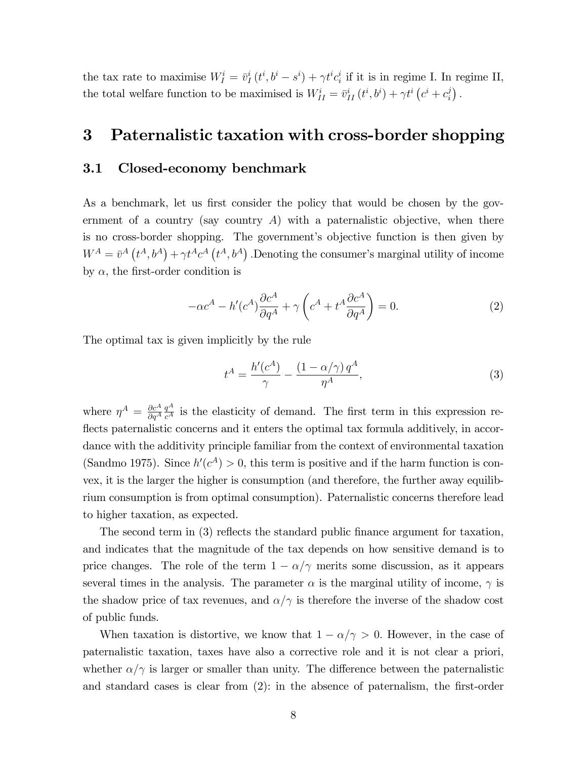the tax rate to maximise  $W^i_I = \bar{v}^i_I(t^i, b^i - s^i) + \gamma t^i c^i_i$  if it is in regime I. In regime II, the total welfare function to be maximised is  $W^i_{II} = \bar{v}^i_{II}(t^i, b^i) + \gamma t^i (c^i + c^j_i)$  $\binom{j}{i}$  .

# 3 Paternalistic taxation with cross-border shopping

#### 3.1 Closed-economy benchmark

As a benchmark, let us first consider the policy that would be chosen by the government of a country (say country  $\vec{A}$ ) with a paternalistic objective, when there is no cross-border shopping. The government's objective function is then given by  $W^A = \bar{v}^A(t^A, b^A) + \gamma t^A c^A(t^A, b^A)$ . Denoting the consumer's marginal utility of income by  $\alpha$ , the first-order condition is

$$
-\alpha c^A - h'(c^A) \frac{\partial c^A}{\partial q^A} + \gamma \left( c^A + t^A \frac{\partial c^A}{\partial q^A} \right) = 0.
$$
 (2)

The optimal tax is given implicitly by the rule

$$
t^{A} = \frac{h'(c^{A})}{\gamma} - \frac{(1 - \alpha/\gamma)q^{A}}{\eta^{A}},
$$
\n(3)

where  $\eta^A = \frac{\partial c^A}{\partial q^A}$  $\overline{\partial q^A}$  $\frac{q^A}{c^A}$  is the elasticity of demand. The first term in this expression reflects paternalistic concerns and it enters the optimal tax formula additively, in accordance with the additivity principle familiar from the context of environmental taxation (Sandmo 1975). Since  $h'(c^A) > 0$ , this term is positive and if the harm function is convex, it is the larger the higher is consumption (and therefore, the further away equilibrium consumption is from optimal consumption). Paternalistic concerns therefore lead to higher taxation, as expected.

The second term in  $(3)$  reflects the standard public finance argument for taxation, and indicates that the magnitude of the tax depends on how sensitive demand is to price changes. The role of the term  $1 - \alpha/\gamma$  merits some discussion, as it appears several times in the analysis. The parameter  $\alpha$  is the marginal utility of income,  $\gamma$  is the shadow price of tax revenues, and  $\alpha/\gamma$  is therefore the inverse of the shadow cost of public funds.

When taxation is distortive, we know that  $1 - \alpha/\gamma > 0$ . However, in the case of paternalistic taxation, taxes have also a corrective role and it is not clear a priori, whether  $\alpha/\gamma$  is larger or smaller than unity. The difference between the paternalistic and standard cases is clear from  $(2)$ : in the absence of paternalism, the first-order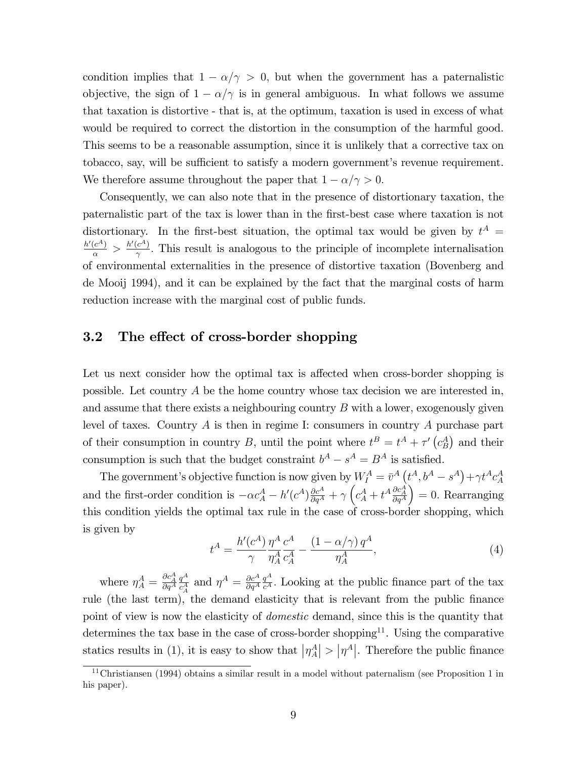condition implies that  $1 - \alpha/\gamma > 0$ , but when the government has a paternalistic objective, the sign of  $1 - \alpha/\gamma$  is in general ambiguous. In what follows we assume that taxation is distortive - that is, at the optimum, taxation is used in excess of what would be required to correct the distortion in the consumption of the harmful good. This seems to be a reasonable assumption, since it is unlikely that a corrective tax on tobacco, say, will be sufficient to satisfy a modern government's revenue requirement. We therefore assume throughout the paper that  $1 - \alpha/\gamma > 0$ .

Consequently, we can also note that in the presence of distortionary taxation, the paternalistic part of the tax is lower than in the Örst-best case where taxation is not distortionary. In the first-best situation, the optimal tax would be given by  $t^A =$  $\frac{h'(c^A)}{\alpha} > \frac{h'(c^A)}{\gamma}$  $\frac{c^{r}}{\gamma}$ . This result is analogous to the principle of incomplete internalisation of environmental externalities in the presence of distortive taxation (Bovenberg and de Mooij 1994), and it can be explained by the fact that the marginal costs of harm reduction increase with the marginal cost of public funds.

#### 3.2 The effect of cross-border shopping

Let us next consider how the optimal tax is affected when cross-border shopping is possible. Let country A be the home country whose tax decision we are interested in, and assume that there exists a neighbouring country  $B$  with a lower, exogenously given level of taxes. Country  $A$  is then in regime I: consumers in country  $A$  purchase part of their consumption in country B, until the point where  $t^B = t^A + \tau' (c_B^A)$  and their consumption is such that the budget constraint  $b^A - s^A = B^A$  is satisfied.

The government's objective function is now given by  $W_I^A = \bar{v}^A \left(t^A, b^A - s^A\right) + \gamma t^A c_A^A$ and the first-order condition is  $-\alpha c_A^A - h'(c^A) \frac{\partial c^A}{\partial q^A} + \gamma \left(c_A^A + t^A \frac{\partial c_A^A}{\partial q^A}\right)$  $= 0.$  Rearranging this condition yields the optimal tax rule in the case of cross-border shopping, which is given by

$$
t^{A} = \frac{h'(c^{A})}{\gamma} \frac{\eta^{A}}{\eta^{A}_{A}} \frac{c^{A}}{c^{A}_{A}} - \frac{(1 - \alpha/\gamma) q^{A}}{\eta^{A}_{A}}, \tag{4}
$$

where  $\eta_A^A = \frac{\partial c_A^A}{\partial q^A}$  $q^A$  $\frac{q^{A}}{c_{A}^{A}}$  and  $\eta^{A} = \frac{\partial c^{A}}{\partial q^{A}}$  $\overline{\partial q^A}$  $\frac{q^A}{c^A}$ . Looking at the public finance part of the tax rule (the last term), the demand elasticity that is relevant from the public finance point of view is now the elasticity of domestic demand, since this is the quantity that determines the tax base in the case of cross-border shopping<sup>11</sup>. Using the comparative statics results in (1), it is easy to show that  $|\eta_A^A| > |\eta^A|$ . Therefore the public finance

 $11$ Christiansen (1994) obtains a similar result in a model without paternalism (see Proposition 1 in his paper).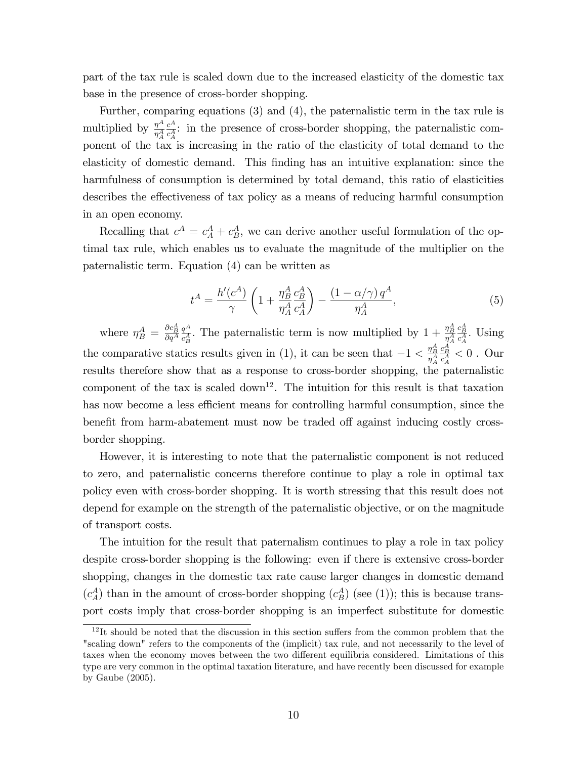part of the tax rule is scaled down due to the increased elasticity of the domestic tax base in the presence of cross-border shopping.

Further, comparing equations (3) and (4), the paternalistic term in the tax rule is multiplied by  $\frac{\eta^A}{n^A}$  $\eta^A_A$  $c^A$  $\frac{c^{\alpha}}{c_A^{\mathcal{A}}}$ : in the presence of cross-border shopping, the paternalistic component of the tax is increasing in the ratio of the elasticity of total demand to the elasticity of domestic demand. This Önding has an intuitive explanation: since the harmfulness of consumption is determined by total demand, this ratio of elasticities describes the effectiveness of tax policy as a means of reducing harmful consumption in an open economy.

Recalling that  $c^A = c_A^A + c_B^A$ , we can derive another useful formulation of the optimal tax rule, which enables us to evaluate the magnitude of the multiplier on the paternalistic term. Equation (4) can be written as

$$
t^{A} = \frac{h'(c^{A})}{\gamma} \left( 1 + \frac{\eta_{B}^{A}}{\eta_{A}^{A}} \frac{c_{B}^{A}}{c_{A}^{A}} \right) - \frac{\left( 1 - \alpha/\gamma \right) q^{A}}{\eta_{A}^{A}},\tag{5}
$$

where  $\eta_B^A = \frac{\partial c_B^A}{\partial q^A}$  $q^A$  $\frac{q^A}{c_B^A}$ . The paternalistic term is now multiplied by  $1 + \frac{\eta_B^A}{\eta_A^A}$  $\frac{c_A^A}{c_A^A}$ . Using the comparative statics results given in (1), it can be seen that  $-1 < \frac{\eta_B^A}{\eta_A^A}$  $\frac{c_B^A}{c_A^A} < 0$  . Our results therefore show that as a response to cross-border shopping, the paternalistic component of the tax is scaled  $down<sup>12</sup>$ . The intuition for this result is that taxation has now become a less efficient means for controlling harmful consumption, since the benefit from harm-abatement must now be traded off against inducing costly crossborder shopping.

However, it is interesting to note that the paternalistic component is not reduced to zero, and paternalistic concerns therefore continue to play a role in optimal tax policy even with cross-border shopping. It is worth stressing that this result does not depend for example on the strength of the paternalistic objective, or on the magnitude of transport costs.

The intuition for the result that paternalism continues to play a role in tax policy despite cross-border shopping is the following: even if there is extensive cross-border shopping, changes in the domestic tax rate cause larger changes in domestic demand  $(c_A^A)$  than in the amount of cross-border shopping  $(c_B^A)$  (see (1)); this is because transport costs imply that cross-border shopping is an imperfect substitute for domestic

 $12$ It should be noted that the discussion in this section suffers from the common problem that the "scaling down" refers to the components of the (implicit) tax rule, and not necessarily to the level of taxes when the economy moves between the two different equilibria considered. Limitations of this type are very common in the optimal taxation literature, and have recently been discussed for example by Gaube (2005).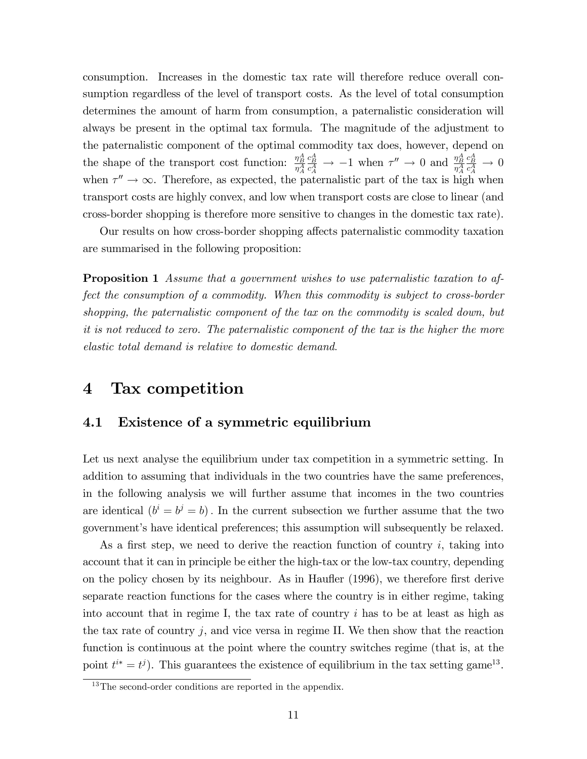consumption. Increases in the domestic tax rate will therefore reduce overall consumption regardless of the level of transport costs. As the level of total consumption determines the amount of harm from consumption, a paternalistic consideration will always be present in the optimal tax formula. The magnitude of the adjustment to the paternalistic component of the optimal commodity tax does, however, depend on the shape of the transport cost function:  $\frac{\eta_B^A}{\eta_A^A}$  $\frac{c_B^A}{c_A^A} \to -1$  when  $\tau'' \to 0$  and  $\frac{\eta_B^A}{\eta_A^A}$  $\frac{c_A^A}{c_A^A} \to 0$ when  $\tau'' \to \infty$ . Therefore, as expected, the paternalistic part of the tax is high when transport costs are highly convex, and low when transport costs are close to linear (and cross-border shopping is therefore more sensitive to changes in the domestic tax rate).

Our results on how cross-border shopping affects paternalistic commodity taxation are summarised in the following proposition:

Proposition 1 Assume that a government wishes to use paternalistic taxation to affect the consumption of a commodity. When this commodity is subject to cross-border shopping, the paternalistic component of the tax on the commodity is scaled down, but it is not reduced to zero. The paternalistic component of the tax is the higher the more elastic total demand is relative to domestic demand:

### 4 Tax competition

#### 4.1 Existence of a symmetric equilibrium

Let us next analyse the equilibrium under tax competition in a symmetric setting. In addition to assuming that individuals in the two countries have the same preferences, in the following analysis we will further assume that incomes in the two countries are identical  $(b^i = b^j = b)$ . In the current subsection we further assume that the two governmentís have identical preferences; this assumption will subsequently be relaxed.

As a first step, we need to derive the reaction function of country  $i$ , taking into account that it can in principle be either the high-tax or the low-tax country, depending on the policy chosen by its neighbour. As in Haufler (1996), we therefore first derive separate reaction functions for the cases where the country is in either regime, taking into account that in regime I, the tax rate of country  $i$  has to be at least as high as the tax rate of country  $j$ , and vice versa in regime II. We then show that the reaction function is continuous at the point where the country switches regime (that is, at the point  $t^{i*} = t^j$ ). This guarantees the existence of equilibrium in the tax setting game<sup>13</sup>.

<sup>&</sup>lt;sup>13</sup>The second-order conditions are reported in the appendix.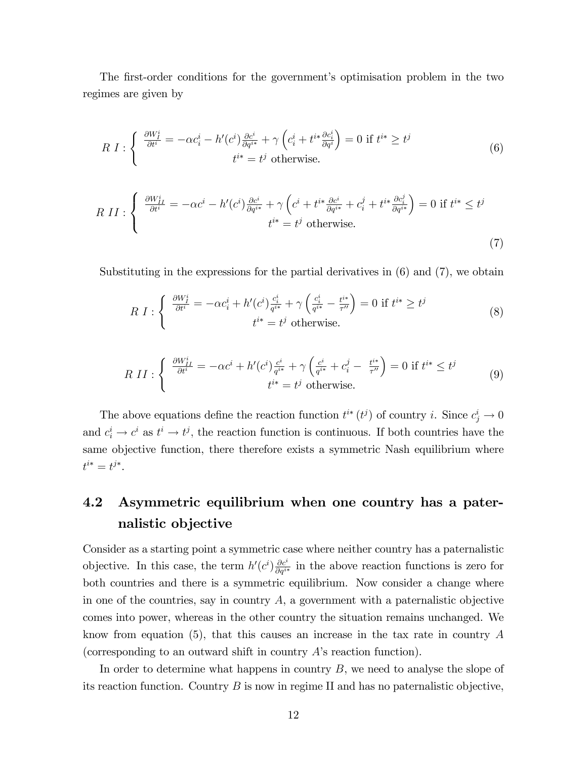The first-order conditions for the government's optimisation problem in the two regimes are given by

$$
R I: \begin{cases} \frac{\partial W^i_i}{\partial t^i} = -\alpha c^i_i - h'(c^i) \frac{\partial c^i}{\partial q^{i*}} + \gamma \left( c^i_i + t^{i*} \frac{\partial c^i_i}{\partial q^i} \right) = 0 \text{ if } t^{i*} \ge t^j\\ t^{i*} = t^j \text{ otherwise.} \end{cases}
$$
(6)

$$
R \ II : \begin{cases} \frac{\partial W_{II}^i}{\partial t^i} = -\alpha c^i - h'(c^i) \frac{\partial c^i}{\partial q^{i*}} + \gamma \left( c^i + t^{i*} \frac{\partial c^i}{\partial q^{i*}} + c^j_i + t^{i*} \frac{\partial c^j_i}{\partial q^{i*}} \right) = 0 \text{ if } t^{i*} \le t^j\\ t^{i*} = t^j \text{ otherwise.} \end{cases}
$$
(7)

Substituting in the expressions for the partial derivatives in (6) and (7), we obtain

$$
R I: \begin{cases} \frac{\partial W_I^i}{\partial t^i} = -\alpha c_i^i + h'(c^i) \frac{c_i^i}{q^{i*}} + \gamma \left( \frac{c_i^i}{q^{i*}} - \frac{t^{i*}}{\tau''} \right) = 0 \text{ if } t^{i*} \ge t^j\\ t^{i*} = t^j \text{ otherwise.} \end{cases}
$$
(8)

$$
R\ II:\begin{cases} \frac{\partial W_{II}^i}{\partial t^i} = -\alpha c^i + h'(c^i) \frac{c^i}{q^{i*}} + \gamma \left( \frac{c^i}{q^{i*}} + c^j_i - \frac{t^{i*}}{\tau''} \right) = 0 \text{ if } t^{i*} \le t^j\\ t^{i*} = t^j \text{ otherwise.} \end{cases} \tag{9}
$$

The above equations define the reaction function  $t^{i*}(t^j)$  of country *i*. Since  $c_j^i \to 0$ and  $c_i^i \to c^i$  as  $t^i \to t^j$ , the reaction function is continuous. If both countries have the same objective function, there therefore exists a symmetric Nash equilibrium where  $t^{i*} = t^{j*}.$ 

# 4.2 Asymmetric equilibrium when one country has a paternalistic objective

Consider as a starting point a symmetric case where neither country has a paternalistic objective. In this case, the term  $h'(c^i) \frac{\partial c^i}{\partial q^{i*}}$  in the above reaction functions is zero for both countries and there is a symmetric equilibrium. Now consider a change where in one of the countries, say in country  $A$ , a government with a paternalistic objective comes into power, whereas in the other country the situation remains unchanged. We know from equation (5), that this causes an increase in the tax rate in country A (corresponding to an outward shift in country  $A$ 's reaction function).

In order to determine what happens in country  $B$ , we need to analyse the slope of its reaction function. Country  $B$  is now in regime II and has no paternalistic objective,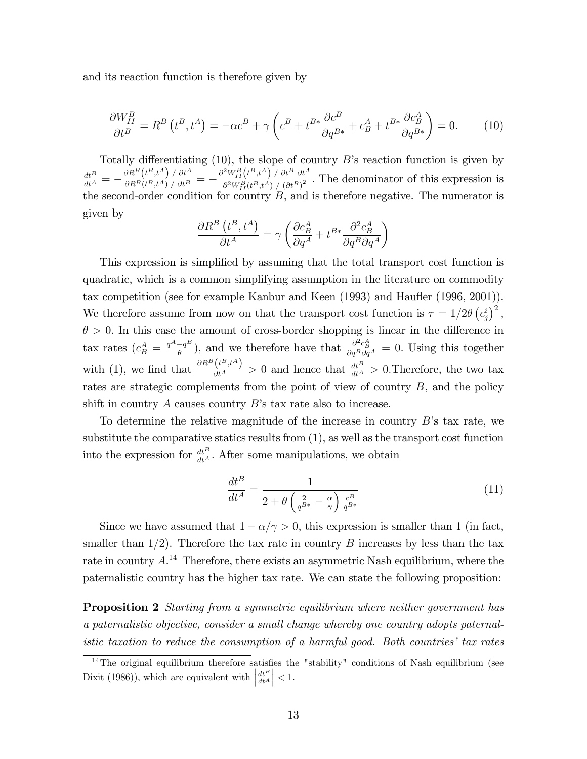and its reaction function is therefore given by

$$
\frac{\partial W_{II}^B}{\partial t^B} = R^B \left( t^B, t^A \right) = -\alpha c^B + \gamma \left( c^B + t^{B*} \frac{\partial c^B}{\partial q^{B*}} + c^A_B + t^{B*} \frac{\partial c^A_B}{\partial q^{B*}} \right) = 0. \tag{10}
$$

Totally differentiating  $(10)$ , the slope of country B's reaction function is given by  $\frac{dt^{B}}{dt^{A}}=-\frac{\partial R^{B}\big(t^{B},t^{A}\big) \mathbin{/} \partial t^{A}}{\partial R^{B}(t^{B},t^{A}) \mathbin{/} \partial t^{B}}=-\frac{\partial^{2}W^{B}_{II}\big(t^{B},t^{A}\big) \mathbin{/} \partial t^{B}}{\partial^{2}W^{B}_{II}(t^{B},t^{A}) \mathbin{/} \big(\partial t^{B}\big)^{2}}$  $\frac{W_{II}(\epsilon^B, \epsilon^B) / \sigma \epsilon^B \sigma \epsilon^B}{\partial^2 W_{II}^B(t^B, t^A) / (\partial t^B)^2}$ . The denominator of this expression is the second-order condition for country  $B$ , and is therefore negative. The numerator is given by

$$
\frac{\partial R^B\left(t^B,t^A\right)}{\partial t^A}=\gamma\left(\frac{\partial c^A_B}{\partial q^A}+t^{B*}\frac{\partial^2 c^A_B}{\partial q^B\partial q^A}\right)
$$

This expression is simplified by assuming that the total transport cost function is quadratic, which is a common simplifying assumption in the literature on commodity tax competition (see for example Kanbur and Keen (1993) and Haufler (1996, 2001)). We therefore assume from now on that the transport cost function is  $\tau = 1/2\theta \left(c_j^i\right)^2$ ,  $\theta > 0$ . In this case the amount of cross-border shopping is linear in the difference in tax rates  $(c_B^A = \frac{q^A - q^B}{\theta})$  $\frac{-q^B}{\theta}$ ), and we therefore have that  $\frac{\partial^2 c_B^A}{\partial q^B \partial q^A} = 0$ . Using this together with (1), we find that  $\frac{\partial R^B(t^B,t^A)}{\partial t^A} > 0$  and hence that  $\frac{dt^B}{dt^A} > 0$ . Therefore, the two tax rates are strategic complements from the point of view of country  $B$ , and the policy shift in country  $A$  causes country  $B$ 's tax rate also to increase.

To determine the relative magnitude of the increase in country  $B$ 's tax rate, we substitute the comparative statics results from (1), as well as the transport cost function into the expression for  $\frac{dt^B}{dt^A}$ . After some manipulations, we obtain

$$
\frac{dt^B}{dt^A} = \frac{1}{2 + \theta \left(\frac{2}{q^{B*}} - \frac{\alpha}{\gamma}\right) \frac{c^B}{q^{B*}}} \tag{11}
$$

Since we have assumed that  $1 - \alpha/\gamma > 0$ , this expression is smaller than 1 (in fact, smaller than  $1/2$ ). Therefore the tax rate in country B increases by less than the tax rate in country  $A^{14}$  Therefore, there exists an asymmetric Nash equilibrium, where the paternalistic country has the higher tax rate. We can state the following proposition:

Proposition 2 Starting from a symmetric equilibrium where neither government has a paternalistic objective, consider a small change whereby one country adopts paternalistic taxation to reduce the consumption of a harmful good. Both countries' tax rates

 $14$ The original equilibrium therefore satisfies the "stability" conditions of Nash equilibrium (see Dixit (1986)), which are equivalent with  $\vert$  $\frac{dt^B}{dt^A}$  $\vert$  < 1.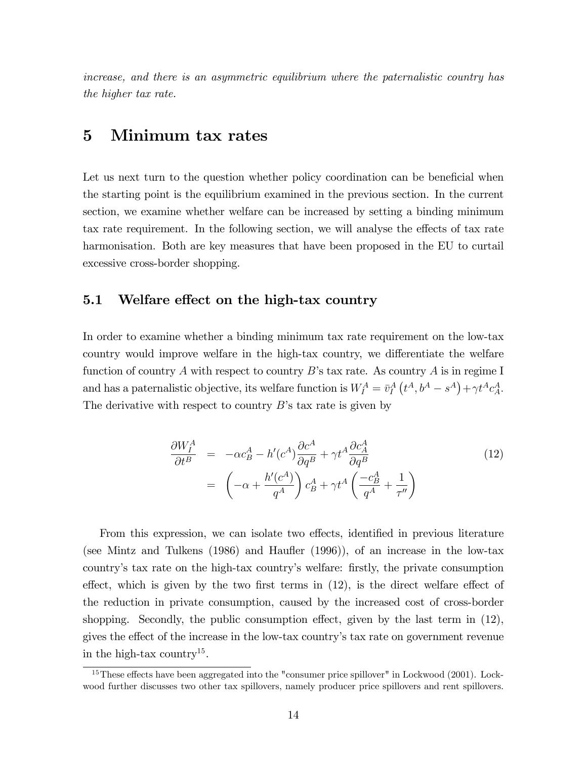increase, and there is an asymmetric equilibrium where the paternalistic country has the higher tax rate.

## 5 Minimum tax rates

Let us next turn to the question whether policy coordination can be beneficial when the starting point is the equilibrium examined in the previous section. In the current section, we examine whether welfare can be increased by setting a binding minimum tax rate requirement. In the following section, we will analyse the effects of tax rate harmonisation. Both are key measures that have been proposed in the EU to curtail excessive cross-border shopping.

#### 5.1 Welfare effect on the high-tax country

In order to examine whether a binding minimum tax rate requirement on the low-tax country would improve welfare in the high-tax country, we differentiate the welfare function of country A with respect to country B's tax rate. As country A is in regime I and has a paternalistic objective, its welfare function is  $W_I^A = \bar{v}_I^A(t^A, b^A - s^A) + \gamma t^A c_A^A$ . The derivative with respect to country  $B$ 's tax rate is given by

$$
\frac{\partial W_I^A}{\partial t^B} = -\alpha c_B^A - h'(c^A) \frac{\partial c^A}{\partial q^B} + \gamma t^A \frac{\partial c_A^A}{\partial q^B}
$$
\n
$$
= \left( -\alpha + \frac{h'(c^A)}{q^A} \right) c_B^A + \gamma t^A \left( \frac{-c_B^A}{q^A} + \frac{1}{\tau''} \right)
$$
\n(12)

From this expression, we can isolate two effects, identified in previous literature (see Mintz and Tulkens  $(1986)$  and Haufler  $(1996)$ ), of an increase in the low-tax countryís tax rate on the high-tax countryís welfare: Örstly, the private consumption effect, which is given by the two first terms in  $(12)$ , is the direct welfare effect of the reduction in private consumption, caused by the increased cost of cross-border shopping. Secondly, the public consumption effect, given by the last term in  $(12)$ , gives the effect of the increase in the low-tax country's tax rate on government revenue in the high-tax country<sup>15</sup> .

 $15$ These effects have been aggregated into the "consumer price spillover" in Lockwood (2001). Lockwood further discusses two other tax spillovers, namely producer price spillovers and rent spillovers.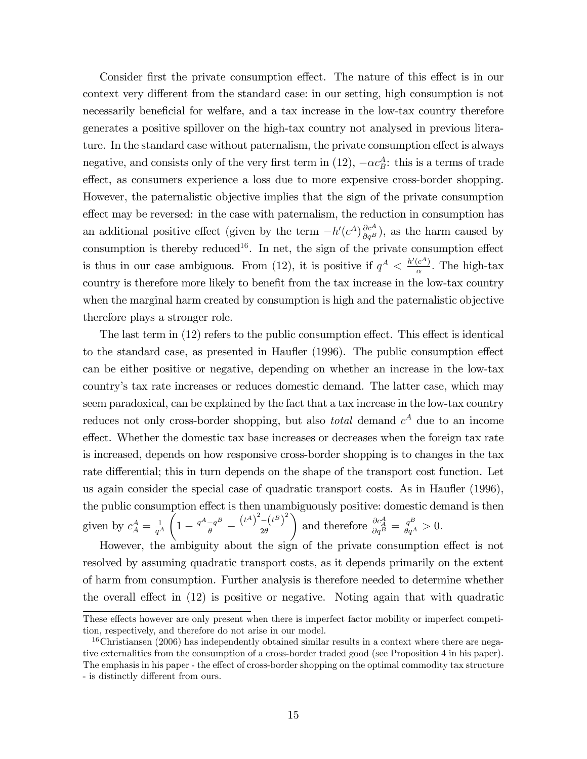Consider first the private consumption effect. The nature of this effect is in our context very different from the standard case: in our setting, high consumption is not necessarily beneficial for welfare, and a tax increase in the low-tax country therefore generates a positive spillover on the high-tax country not analysed in previous literature. In the standard case without paternalism, the private consumption effect is always negative, and consists only of the very first term in  $(12)$ ,  $-\alpha c_B^A$ : this is a terms of trade effect, as consumers experience a loss due to more expensive cross-border shopping. However, the paternalistic objective implies that the sign of the private consumption effect may be reversed: in the case with paternalism, the reduction in consumption has an additional positive effect (given by the term  $-h'(c^A)\frac{\partial c^A}{\partial q^B}$ ), as the harm caused by consumption is thereby reduced<sup>16</sup>. In net, the sign of the private consumption effect is thus in our case ambiguous. From (12), it is positive if  $q^A < \frac{h'(c^A)}{c}$  $\frac{c^{r}}{\alpha}$ . The high-tax country is therefore more likely to benefit from the tax increase in the low-tax country when the marginal harm created by consumption is high and the paternalistic objective therefore plays a stronger role.

The last term in  $(12)$  refers to the public consumption effect. This effect is identical to the standard case, as presented in Haufler  $(1996)$ . The public consumption effect can be either positive or negative, depending on whether an increase in the low-tax countryís tax rate increases or reduces domestic demand. The latter case, which may seem paradoxical, can be explained by the fact that a tax increase in the low-tax country reduces not only cross-border shopping, but also *total* demand  $c^A$  due to an income effect. Whether the domestic tax base increases or decreases when the foreign tax rate is increased, depends on how responsive cross-border shopping is to changes in the tax rate differential; this in turn depends on the shape of the transport cost function. Let us again consider the special case of quadratic transport costs. As in Haufler (1996), the public consumption effect is then unambiguously positive: domestic demand is then given by  $c_A^A = \frac{1}{q^A}$  $q^A$  $\overline{ }$  $1-\frac{q^A-q^B}{\theta} (t^A)^2-(t^B)^2$  $2\theta$ and therefore  $\frac{\partial c_A^A}{\partial q^B} = \frac{q^B}{\theta q^A} > 0.$ 

However, the ambiguity about the sign of the private consumption effect is not resolved by assuming quadratic transport costs, as it depends primarily on the extent of harm from consumption. Further analysis is therefore needed to determine whether the overall effect in  $(12)$  is positive or negative. Noting again that with quadratic

These effects however are only present when there is imperfect factor mobility or imperfect competition, respectively, and therefore do not arise in our model.

 $16$ Christiansen (2006) has independently obtained similar results in a context where there are negative externalities from the consumption of a cross-border traded good (see Proposition 4 in his paper). The emphasis in his paper - the effect of cross-border shopping on the optimal commodity tax structure - is distinctly different from ours.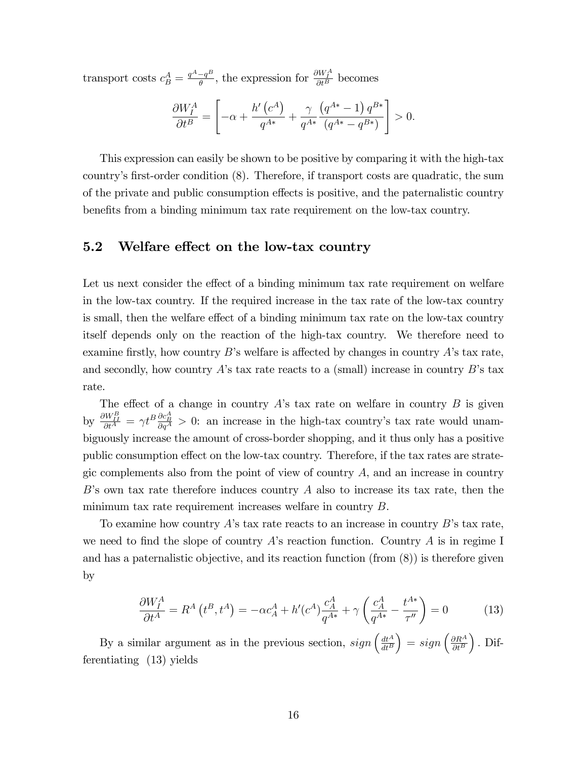transport costs  $c_B^A = \frac{q^A - q^B}{\theta}$  $\frac{-q^B}{\theta}$ , the expression for  $\frac{\partial W_I^A}{\partial t^B}$  becomes

$$
\frac{\partial W_I^A}{\partial t^B} = \left[ -\alpha + \frac{h'\left(c^A\right)}{q^{A*}} + \frac{\gamma}{q^{A*}} \frac{\left(q^{A*} - 1\right) q^{B*}}{\left(q^{A*} - q^{B*}\right)} \right] > 0.
$$

This expression can easily be shown to be positive by comparing it with the high-tax country's first-order condition (8). Therefore, if transport costs are quadratic, the sum of the private and public consumption effects is positive, and the paternalistic country benefits from a binding minimum tax rate requirement on the low-tax country.

#### 5.2 Welfare effect on the low-tax country

Let us next consider the effect of a binding minimum tax rate requirement on welfare in the low-tax country. If the required increase in the tax rate of the low-tax country is small, then the welfare effect of a binding minimum tax rate on the low-tax country itself depends only on the reaction of the high-tax country. We therefore need to examine firstly, how country  $B$ 's welfare is affected by changes in country  $A$ 's tax rate, and secondly, how country  $A$ 's tax rate reacts to a (small) increase in country  $B$ 's tax rate.

The effect of a change in country  $A$ 's tax rate on welfare in country  $B$  is given by  $\frac{\partial W_H^B}{\partial t^A} = \gamma t^B \frac{\partial c_B^A}{\partial q^A} > 0$ : an increase in the high-tax country's tax rate would unambiguously increase the amount of cross-border shopping, and it thus only has a positive public consumption effect on the low-tax country. Therefore, if the tax rates are strategic complements also from the point of view of country  $A$ , and an increase in country  $B$ 's own tax rate therefore induces country A also to increase its tax rate, then the minimum tax rate requirement increases welfare in country B.

To examine how country  $A$ 's tax rate reacts to an increase in country  $B$ 's tax rate, we need to find the slope of country  $A$ 's reaction function. Country  $A$  is in regime I and has a paternalistic objective, and its reaction function  $(\text{from } (8))$  is therefore given by

$$
\frac{\partial W_I^A}{\partial t^A} = R^A \left( t^B, t^A \right) = -\alpha c_A^A + h'(c^A) \frac{c_A^A}{q^{A*}} + \gamma \left( \frac{c_A^A}{q^{A*}} - \frac{t^{A*}}{\tau''} \right) = 0 \tag{13}
$$

By a similar argument as in the previous section,  $sign\left(\frac{dt^A}{dt^B}\right)$  $dt^B$  $= sign \left(\frac{\partial R^A}{\partial t^B}\right)$  $\partial t^{B}$  $\big)$ . Differentiating (13) yields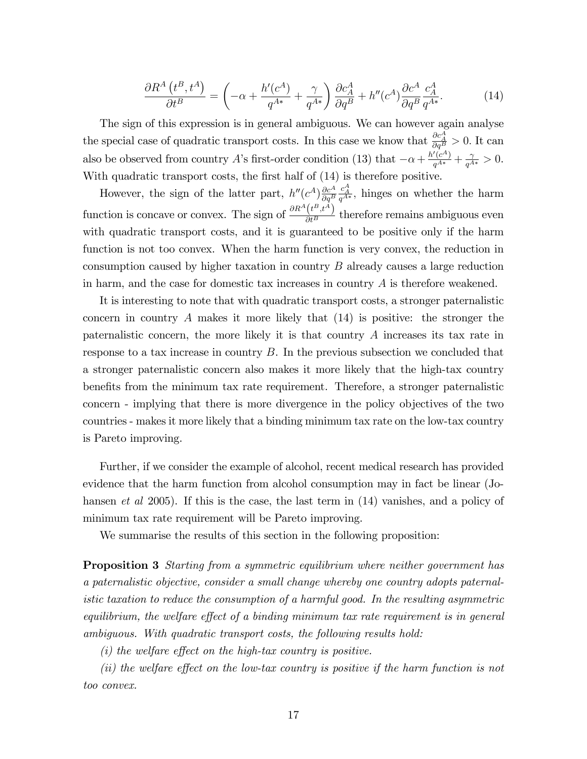$$
\frac{\partial R^A \left(t^B, t^A\right)}{\partial t^B} = \left(-\alpha + \frac{h'(c^A)}{q^{A*}} + \frac{\gamma}{q^{A*}}\right) \frac{\partial c_A^A}{\partial q^B} + h''(c^A) \frac{\partial c^A}{\partial q^B} \frac{c_A^A}{q^{A*}}.\tag{14}
$$

The sign of this expression is in general ambiguous. We can however again analyse the special case of quadratic transport costs. In this case we know that  $\frac{\partial c_A^A}{\partial q^B} > 0$ . It can also be observed from country A's first-order condition (13) that  $-\alpha + \frac{h'(c^A)}{q^{A*}} + \frac{\gamma}{q^{A*}} > 0$ . With quadratic transport costs, the first half of  $(14)$  is therefore positive.

However, the sign of the latter part,  $h''(c^A) \frac{\partial c^A}{\partial a^B}$  $\partial q^B$  $\frac{c_A^A}{q^{A*}},$  hinges on whether the harm function is concave or convex. The sign of  $\frac{\partial R^A(t^B,t^A)}{\partial t^B}$  therefore remains ambiguous even with quadratic transport costs, and it is guaranteed to be positive only if the harm function is not too convex. When the harm function is very convex, the reduction in consumption caused by higher taxation in country B already causes a large reduction in harm, and the case for domestic tax increases in country  $A$  is therefore weakened.

It is interesting to note that with quadratic transport costs, a stronger paternalistic concern in country A makes it more likely that  $(14)$  is positive: the stronger the paternalistic concern, the more likely it is that country A increases its tax rate in response to a tax increase in country  $B$ . In the previous subsection we concluded that a stronger paternalistic concern also makes it more likely that the high-tax country benefits from the minimum tax rate requirement. Therefore, a stronger paternalistic concern - implying that there is more divergence in the policy objectives of the two countries - makes it more likely that a binding minimum tax rate on the low-tax country is Pareto improving.

Further, if we consider the example of alcohol, recent medical research has provided evidence that the harm function from alcohol consumption may in fact be linear (Johansen *et al* 2005). If this is the case, the last term in (14) vanishes, and a policy of minimum tax rate requirement will be Pareto improving.

We summarise the results of this section in the following proposition:

Proposition 3 Starting from a symmetric equilibrium where neither government has a paternalistic objective, consider a small change whereby one country adopts paternalistic taxation to reduce the consumption of a harmful good. In the resulting asymmetric equilibrium, the welfare effect of a binding minimum tax rate requirement is in general ambiguous. With quadratic transport costs, the following results hold:

 $(i)$  the welfare effect on the high-tax country is positive.

 $(ii)$  the welfare effect on the low-tax country is positive if the harm function is not too convex.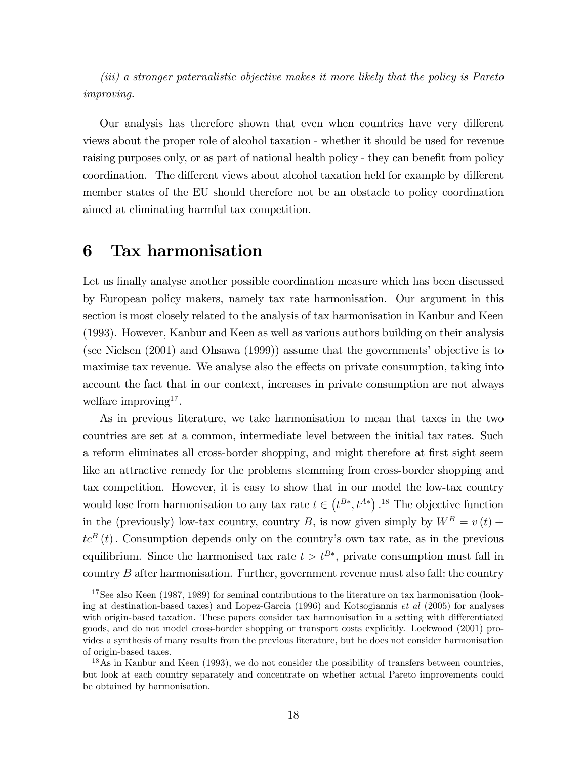(iii) a stronger paternalistic objective makes it more likely that the policy is Pareto improving.

Our analysis has therefore shown that even when countries have very different views about the proper role of alcohol taxation - whether it should be used for revenue raising purposes only, or as part of national health policy - they can benefit from policy coordination. The different views about alcohol taxation held for example by different member states of the EU should therefore not be an obstacle to policy coordination aimed at eliminating harmful tax competition.

### 6 Tax harmonisation

Let us finally analyse another possible coordination measure which has been discussed by European policy makers, namely tax rate harmonisation. Our argument in this section is most closely related to the analysis of tax harmonisation in Kanbur and Keen (1993). However, Kanbur and Keen as well as various authors building on their analysis (see Nielsen  $(2001)$  and Ohsawa  $(1999)$ ) assume that the governments' objective is to maximise tax revenue. We analyse also the effects on private consumption, taking into account the fact that in our context, increases in private consumption are not always welfare improving<sup>17</sup>.

As in previous literature, we take harmonisation to mean that taxes in the two countries are set at a common, intermediate level between the initial tax rates. Such a reform eliminates all cross-border shopping, and might therefore at first sight seem like an attractive remedy for the problems stemming from cross-border shopping and tax competition. However, it is easy to show that in our model the low-tax country would lose from harmonisation to any tax rate  $t \in (t^{B*}, t^{A*})$ .<sup>18</sup> The objective function in the (previously) low-tax country, country B, is now given simply by  $W^B = v(t) +$  $tc^{B}(t)$ . Consumption depends only on the country's own tax rate, as in the previous equilibrium. Since the harmonised tax rate  $t > t^{B*}$ , private consumption must fall in country  $B$  after harmonisation. Further, government revenue must also fall: the country

<sup>&</sup>lt;sup>17</sup>See also Keen (1987, 1989) for seminal contributions to the literature on tax harmonisation (looking at destination-based taxes) and Lopez-Garcia (1996) and Kotsogiannis et al (2005) for analyses with origin-based taxation. These papers consider tax harmonisation in a setting with differentiated goods, and do not model cross-border shopping or transport costs explicitly. Lockwood (2001) provides a synthesis of many results from the previous literature, but he does not consider harmonisation of origin-based taxes.

<sup>&</sup>lt;sup>18</sup>As in Kanbur and Keen (1993), we do not consider the possibility of transfers between countries, but look at each country separately and concentrate on whether actual Pareto improvements could be obtained by harmonisation.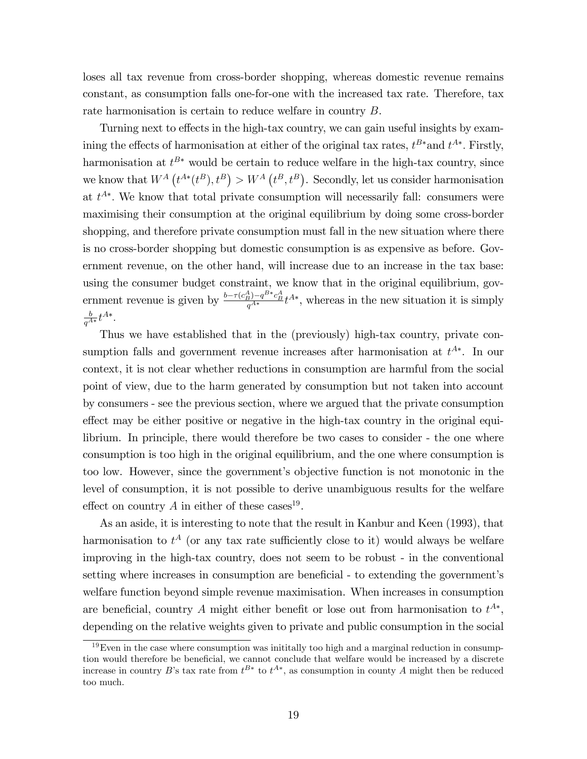loses all tax revenue from cross-border shopping, whereas domestic revenue remains constant, as consumption falls one-for-one with the increased tax rate. Therefore, tax rate harmonisation is certain to reduce welfare in country B.

Turning next to effects in the high-tax country, we can gain useful insights by examining the effects of harmonisation at either of the original tax rates,  $t^{B*}$  and  $t^{A*}$ . Firstly, harmonisation at  $t^{B*}$  would be certain to reduce welfare in the high-tax country, since we know that  $W^A(t^{A*}(t^B), t^B) > W^A(t^B, t^B)$ . Secondly, let us consider harmonisation at  $t^{A*}$ . We know that total private consumption will necessarily fall: consumers were maximising their consumption at the original equilibrium by doing some cross-border shopping, and therefore private consumption must fall in the new situation where there is no cross-border shopping but domestic consumption is as expensive as before. Government revenue, on the other hand, will increase due to an increase in the tax base: using the consumer budget constraint, we know that in the original equilibrium, government revenue is given by  $\frac{b-\tau(c_B^A)-q^{B*}c_B^A}{q^{A*}}t^{A*}$ , whereas in the new situation it is simply  $\frac{b}{q^{A*}} t^{A*}.$ 

Thus we have established that in the (previously) high-tax country, private consumption falls and government revenue increases after harmonisation at  $t^{A*}$ . In our context, it is not clear whether reductions in consumption are harmful from the social point of view, due to the harm generated by consumption but not taken into account by consumers - see the previous section, where we argued that the private consumption effect may be either positive or negative in the high-tax country in the original equilibrium. In principle, there would therefore be two cases to consider - the one where consumption is too high in the original equilibrium, and the one where consumption is too low. However, since the governmentís objective function is not monotonic in the level of consumption, it is not possible to derive unambiguous results for the welfare effect on country A in either of these cases<sup>19</sup>.

As an aside, it is interesting to note that the result in Kanbur and Keen (1993), that harmonisation to  $t^A$  (or any tax rate sufficiently close to it) would always be welfare improving in the high-tax country, does not seem to be robust - in the conventional setting where increases in consumption are beneficial - to extending the government's welfare function beyond simple revenue maximisation. When increases in consumption are beneficial, country A might either benefit or lose out from harmonisation to  $t^{A*}$ , depending on the relative weights given to private and public consumption in the social

 $19$ Even in the case where consumption was initially too high and a marginal reduction in consumption would therefore be beneficial, we cannot conclude that welfare would be increased by a discrete increase in country B's tax rate from  $t^{B*}$  to  $t^{A*}$ , as consumption in county A might then be reduced too much.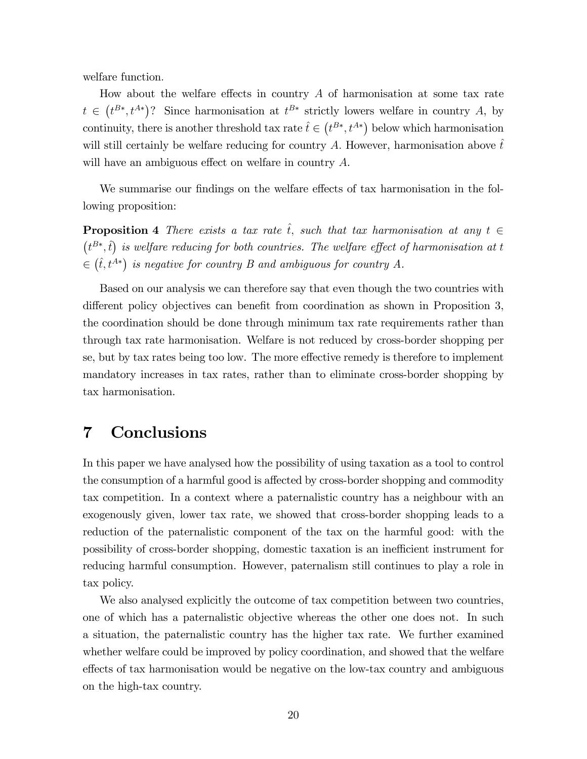welfare function.

How about the welfare effects in country  $A$  of harmonisation at some tax rate  $t \in (t^{B*}, t^{A*})$ ? Since harmonisation at  $t^{B*}$  strictly lowers welfare in country A, by continuity, there is another threshold tax rate  $\hat{t} \in (t^{B*}, t^{A*})$  below which harmonisation will still certainly be welfare reducing for country A. However, harmonisation above  $\hat{t}$ will have an ambiguous effect on welfare in country  $A$ .

We summarise our findings on the welfare effects of tax harmonisation in the following proposition:

**Proposition 4** There exists a tax rate  $\hat{t}$ , such that tax harmonisation at any  $t \in$  $(t^{B*}, \hat{t})$  is welfare reducing for both countries. The welfare effect of harmonisation at t  $\in (\hat{t}, t^{A*})$  is negative for country B and ambiguous for country A.

Based on our analysis we can therefore say that even though the two countries with different policy objectives can benefit from coordination as shown in Proposition 3, the coordination should be done through minimum tax rate requirements rather than through tax rate harmonisation. Welfare is not reduced by cross-border shopping per se, but by tax rates being too low. The more effective remedy is therefore to implement mandatory increases in tax rates, rather than to eliminate cross-border shopping by tax harmonisation.

### 7 Conclusions

In this paper we have analysed how the possibility of using taxation as a tool to control the consumption of a harmful good is affected by cross-border shopping and commodity tax competition. In a context where a paternalistic country has a neighbour with an exogenously given, lower tax rate, we showed that cross-border shopping leads to a reduction of the paternalistic component of the tax on the harmful good: with the possibility of cross-border shopping, domestic taxation is an inefficient instrument for reducing harmful consumption. However, paternalism still continues to play a role in tax policy.

We also analysed explicitly the outcome of tax competition between two countries, one of which has a paternalistic objective whereas the other one does not. In such a situation, the paternalistic country has the higher tax rate. We further examined whether welfare could be improved by policy coordination, and showed that the welfare effects of tax harmonisation would be negative on the low-tax country and ambiguous on the high-tax country.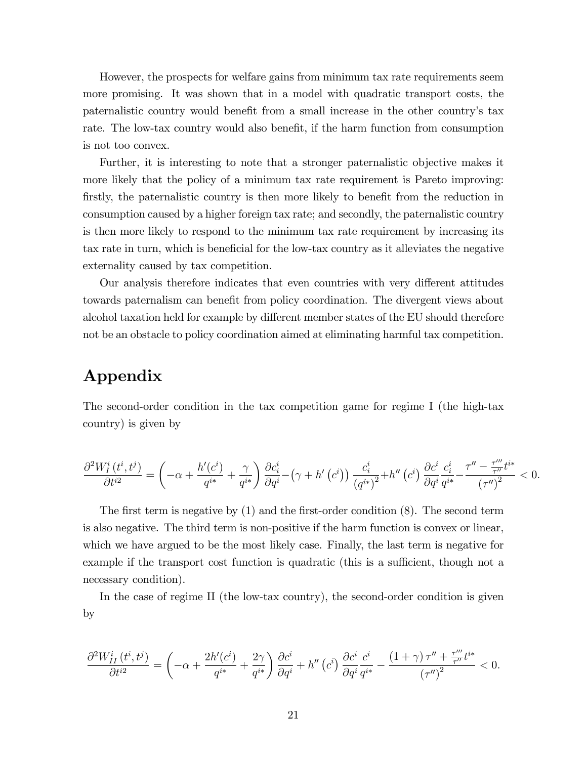However, the prospects for welfare gains from minimum tax rate requirements seem more promising. It was shown that in a model with quadratic transport costs, the paternalistic country would benefit from a small increase in the other country's tax rate. The low-tax country would also benefit, if the harm function from consumption is not too convex.

Further, it is interesting to note that a stronger paternalistic objective makes it more likely that the policy of a minimum tax rate requirement is Pareto improving: firstly, the paternalistic country is then more likely to benefit from the reduction in consumption caused by a higher foreign tax rate; and secondly, the paternalistic country is then more likely to respond to the minimum tax rate requirement by increasing its tax rate in turn, which is beneficial for the low-tax country as it alleviates the negative externality caused by tax competition.

Our analysis therefore indicates that even countries with very different attitudes towards paternalism can benefit from policy coordination. The divergent views about alcohol taxation held for example by different member states of the EU should therefore not be an obstacle to policy coordination aimed at eliminating harmful tax competition.

# Appendix

The second-order condition in the tax competition game for regime I (the high-tax country) is given by

$$
\frac{\partial^2 W^i_I(t^i,t^j)}{\partial t^{i2}} = \left(-\alpha + \frac{h'(c^i)}{q^{i*}} + \frac{\gamma}{q^{i*}}\right) \frac{\partial c^i_i}{\partial q^i} - \left(\gamma + h'\left(c^i\right)\right) \frac{c^i_i}{\left(q^{i*}\right)^2} + h''\left(c^i\right) \frac{\partial c^i}{\partial q^i} \frac{c^i_i}{q^{i*}} - \frac{\tau'' - \frac{\tau'''}{\tau''}t^{i*}}{\left(\tau''\right)^2} < 0.
$$

The first term is negative by  $(1)$  and the first-order condition  $(8)$ . The second term is also negative. The third term is non-positive if the harm function is convex or linear, which we have argued to be the most likely case. Finally, the last term is negative for example if the transport cost function is quadratic (this is a sufficient, though not a necessary condition).

In the case of regime II (the low-tax country), the second-order condition is given by

$$
\frac{\partial^2 W^i_{II}\left(t^i,t^j\right)}{\partial t^{i2}}=\left(-\alpha+\frac{2h'(c^i)}{q^{i*}}+\frac{2\gamma}{q^{i*}}\right)\frac{\partial c^i}{\partial q^i}+h''\left(c^i\right)\frac{\partial c^i}{\partial q^i}\frac{c^i}{q^{i*}}-\frac{\left(1+\gamma\right)\tau''+\frac{\tau'''}{\tau''}t^{i*}}{\left(\tau''\right)^2}<0.
$$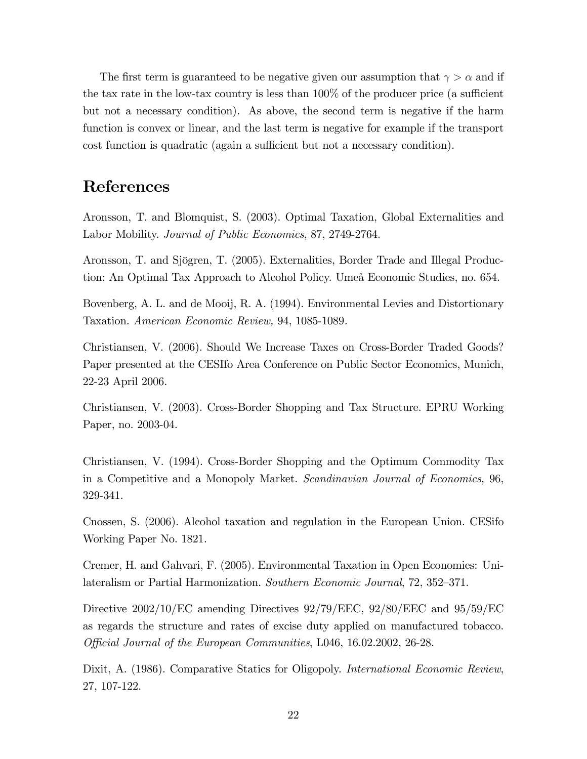The first term is guaranteed to be negative given our assumption that  $\gamma > \alpha$  and if the tax rate in the low-tax country is less than  $100\%$  of the producer price (a sufficient but not a necessary condition). As above, the second term is negative if the harm function is convex or linear, and the last term is negative for example if the transport cost function is quadratic (again a sufficient but not a necessary condition).

# References

Aronsson, T. and Blomquist, S. (2003). Optimal Taxation, Global Externalities and Labor Mobility. Journal of Public Economics, 87, 2749-2764.

Aronsson, T. and Sjögren, T. (2005). Externalities, Border Trade and Illegal Production: An Optimal Tax Approach to Alcohol Policy. Ume<sub>a</sub> Economic Studies, no. 654.

Bovenberg, A. L. and de Mooij, R. A. (1994). Environmental Levies and Distortionary Taxation. American Economic Review, 94, 1085-1089.

Christiansen, V. (2006). Should We Increase Taxes on Cross-Border Traded Goods? Paper presented at the CESIfo Area Conference on Public Sector Economics, Munich, 22-23 April 2006.

Christiansen, V. (2003). Cross-Border Shopping and Tax Structure. EPRU Working Paper, no. 2003-04.

Christiansen, V. (1994). Cross-Border Shopping and the Optimum Commodity Tax in a Competitive and a Monopoly Market. Scandinavian Journal of Economics, 96, 329-341.

Cnossen, S. (2006). Alcohol taxation and regulation in the European Union. CESifo Working Paper No. 1821.

Cremer, H. and Gahvari, F. (2005). Environmental Taxation in Open Economies: Unilateralism or Partial Harmonization. Southern Economic Journal, 72, 352–371.

Directive 2002/10/EC amending Directives 92/79/EEC, 92/80/EEC and 95/59/EC as regards the structure and rates of excise duty applied on manufactured tobacco. Official Journal of the European Communities, L046, 16.02.2002, 26-28.

Dixit, A. (1986). Comparative Statics for Oligopoly. *International Economic Review*, 27, 107-122.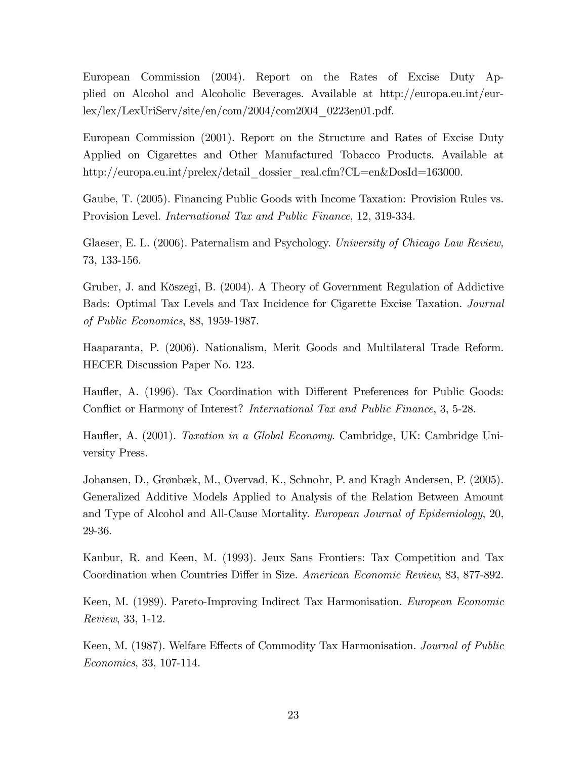European Commission (2004). Report on the Rates of Excise Duty Applied on Alcohol and Alcoholic Beverages. Available at http://europa.eu.int/eurlex/lex/LexUriServ/site/en/com/2004/com2004\_0223en01.pdf.

European Commission (2001). Report on the Structure and Rates of Excise Duty Applied on Cigarettes and Other Manufactured Tobacco Products. Available at http://europa.eu.int/prelex/detail\_dossier\_real.cfm?CL=en&DosId=163000.

Gaube, T. (2005). Financing Public Goods with Income Taxation: Provision Rules vs. Provision Level. International Tax and Public Finance, 12, 319-334.

Glaeser, E. L. (2006). Paternalism and Psychology. University of Chicago Law Review, 73, 133-156.

Gruber, J. and Köszegi, B. (2004). A Theory of Government Regulation of Addictive Bads: Optimal Tax Levels and Tax Incidence for Cigarette Excise Taxation. Journal of Public Economics, 88, 1959-1987.

Haaparanta, P. (2006). Nationalism, Merit Goods and Multilateral Trade Reform. HECER Discussion Paper No. 123.

Haufler, A. (1996). Tax Coordination with Different Preferences for Public Goods: Conflict or Harmony of Interest? *International Tax and Public Finance*, 3, 5-28.

Haufler, A. (2001). Taxation in a Global Economy. Cambridge, UK: Cambridge University Press.

Johansen, D., Grønbæk, M., Overvad, K., Schnohr, P. and Kragh Andersen, P. (2005). Generalized Additive Models Applied to Analysis of the Relation Between Amount and Type of Alcohol and All-Cause Mortality. European Journal of Epidemiology, 20, 29-36.

Kanbur, R. and Keen, M. (1993). Jeux Sans Frontiers: Tax Competition and Tax Coordination when Countries Differ in Size. American Economic Review, 83, 877-892.

Keen, M. (1989). Pareto-Improving Indirect Tax Harmonisation. European Economic Review, 33, 1-12.

Keen, M. (1987). Welfare Effects of Commodity Tax Harmonisation. Journal of Public Economics, 33, 107-114.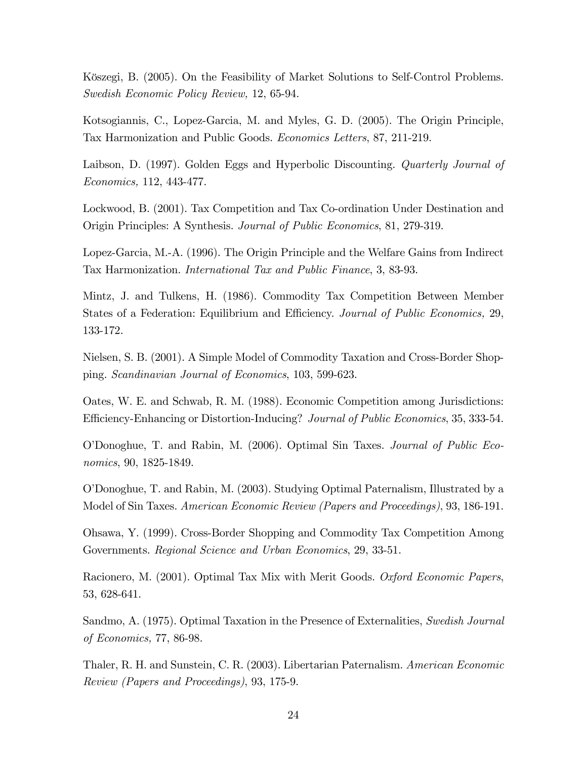Köszegi, B. (2005). On the Feasibility of Market Solutions to Self-Control Problems. Swedish Economic Policy Review, 12, 65-94.

Kotsogiannis, C., Lopez-Garcia, M. and Myles, G. D. (2005). The Origin Principle, Tax Harmonization and Public Goods. Economics Letters, 87, 211-219.

Laibson, D. (1997). Golden Eggs and Hyperbolic Discounting. *Quarterly Journal of* Economics, 112, 443-477.

Lockwood, B. (2001). Tax Competition and Tax Co-ordination Under Destination and Origin Principles: A Synthesis. Journal of Public Economics, 81, 279-319.

Lopez-Garcia, M.-A. (1996). The Origin Principle and the Welfare Gains from Indirect Tax Harmonization. International Tax and Public Finance, 3, 83-93.

Mintz, J. and Tulkens, H. (1986). Commodity Tax Competition Between Member States of a Federation: Equilibrium and Efficiency. Journal of Public Economics, 29, 133-172.

Nielsen, S. B. (2001). A Simple Model of Commodity Taxation and Cross-Border Shopping. Scandinavian Journal of Economics, 103, 599-623.

Oates, W. E. and Schwab, R. M. (1988). Economic Competition among Jurisdictions: Efficiency-Enhancing or Distortion-Inducing? Journal of Public Economics, 35, 333-54.

OíDonoghue, T. and Rabin, M. (2006). Optimal Sin Taxes. Journal of Public Economics, 90, 1825-1849.

OíDonoghue, T. and Rabin, M. (2003). Studying Optimal Paternalism, Illustrated by a Model of Sin Taxes. American Economic Review (Papers and Proceedings), 93, 186-191.

Ohsawa, Y. (1999). Cross-Border Shopping and Commodity Tax Competition Among Governments. Regional Science and Urban Economics, 29, 33-51.

Racionero, M. (2001). Optimal Tax Mix with Merit Goods. Oxford Economic Papers, 53, 628-641.

Sandmo, A. (1975). Optimal Taxation in the Presence of Externalities, Swedish Journal of Economics, 77, 86-98.

Thaler, R. H. and Sunstein, C. R. (2003). Libertarian Paternalism. American Economic Review (Papers and Proceedings), 93, 175-9.